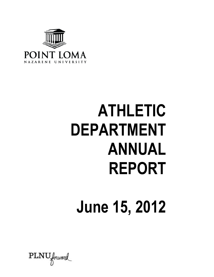

# **ATHLETIC DEPARTMENT ANNUAL REPORT**

## **June 15, 2012**

 $\text{PINU}$  forward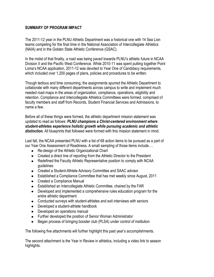#### **SUMMARY OF PROGRAM IMPACT**

The 2011-12 year in the PLNU Athletic Department was a historical one with 14 Sea Lion teams competing for the final time in the National Association of Intercollegiate Athletics (NAIA) and in the Golden State Athletic Conference (GSAC).

In the midst of that finality, a road was being paved towards PLNU's athletic future in NCAA Division II and the Pacific West Conference. While 2010-11 was spent putting together Point Loma's NCAA application, 2011-12 was devoted to Year One of Candidacy requirements, which included over 1,200 pages of plans, policies and procedures to be written.

Though tedious and time consuming, the assignments spurred the Athletic Department to collaborate with many different departments across campus to write and implement much needed road maps in the areas of organization, compliance, operations, eligibility and retention. Compliance and Intercollegiate Athletics Committees were formed, comprised of faculty members and staff from Records, Student Financial Services and Admissions, to name a few.

Before all of these things were formed, the athletic department mission statement was updated to read as follows: *PLNU champions a Christ-centered environment where student-athletes experience holistic growth while pursuing academic and athletic distinction.* All blueprints that followed were formed with this mission statement in mind.

Last fall, the NCAA presented PLNU with a list of 68 action items to be pursued as a part of our Year One Assessment of Readiness. A small sampling of those items include….

- Re-design of the Athletic Organizational Chart
- Created a direct line of reporting from the Athletic Director to the President
- Redefined the Faculty Athletic Representative position to comply with NCAA guidelines
- Created a Student-Athlete Advisory Committee and SAAC advisor
- Established a Compliance Committee that has met weekly since August, 2011
- Created a Compliance Manual
- Established an Intercollegiate Athletic Committee, chaired by the FAR
- Developed and implemented a comprehensive rules education program for the entire athletic department
- Conducted surveys with student-athletes and exit interviews with seniors
- Developed a student-athlete handbook
- Developed an operations manual
- Further developed the position of Senior Woman Administrator
- Began process of bringing booster club (PLSA) under control of institution

The following five attachments will further highlight this past year's accomplishments.

The second attachment is the Year in Review in athletics, including a video link to season highlights.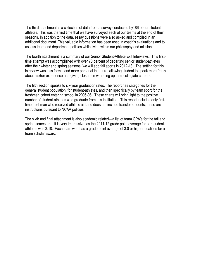The third attachment is a collection of data from a survey conducted by186 of our studentathletes. This was the first time that we have surveyed each of our teams at the end of their seasons. In addition to the data, essay questions were also asked and compiled in an additional document. This valuable information has been used in coach's evaluations and to assess team and department policies while living within our philosophy and mission.

The fourth attachment is a summary of our Senior Student-Athlete Exit Interviews. This firsttime attempt was accomplished with over 70 percent of departing senior student-athletes after their winter and spring seasons (we will add fall sports in 2012-13). The setting for this interview was less formal and more personal in nature, allowing student to speak more freely about his/her experience and giving closure in wrapping up their collegiate careers.

The fifth section speaks to six-year graduation rates. The report has categories for the general student population, for student-athletes, and then specifically by team sport for the freshman cohort entering school in 2005-06. These charts will bring light to the positive number of student-athletes who graduate from this institution. This report includes only firsttime freshman who received athletic aid and does not include transfer students; these are instructions pursuant to NCAA policies.

The sixth and final attachment is also academic related—a list of team GPA's for the fall and spring semesters. It is very impressive, as the 2011-12 grade point average for our studentathletes was 3.18. Each team who has a grade point average of 3.0 or higher qualifies for a team scholar award.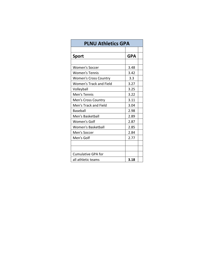| <b>PLNU Athletics GPA</b>      |            |  |  |  |  |
|--------------------------------|------------|--|--|--|--|
| Sport                          | <b>GPA</b> |  |  |  |  |
|                                |            |  |  |  |  |
| Women's Soccer                 | 3.48       |  |  |  |  |
| <b>Women's Tennis</b>          | 3.42       |  |  |  |  |
| <b>Women's Cross Country</b>   | 3.3        |  |  |  |  |
| <b>Women's Track and Field</b> | 3.27       |  |  |  |  |
| Volleyball                     | 3.25       |  |  |  |  |
| Men's Tennis                   | 3.22       |  |  |  |  |
| Men's Cross Country            | 3.11       |  |  |  |  |
| Men's Track and Field          | 3.04       |  |  |  |  |
| Baseball                       | 2.98       |  |  |  |  |
| Men's Basketball               | 2.89       |  |  |  |  |
| Women's Golf                   | 2.87       |  |  |  |  |
| <b>Women's Basketball</b>      | 2.85       |  |  |  |  |
| Men's Soccer                   | 2.84       |  |  |  |  |
| Men's Golf                     | 2.77       |  |  |  |  |
|                                |            |  |  |  |  |
| <b>Cumulative GPA for</b>      |            |  |  |  |  |
| all athletic teams             | 3.18       |  |  |  |  |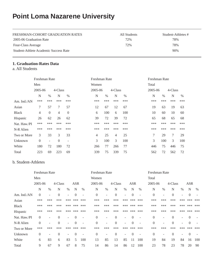#### **Point Loma Nazarene University**

| FRESHMAN-COHORT GRADUATION RATES      | All Students | Student-Athletes # |
|---------------------------------------|--------------|--------------------|
| 2005-06 Graduation Rate               | 72%          | 78%                |
| Four-Class Average                    | 72%          | 78%                |
| Student-Athlete Academic Success Rate |              | 90%                |

#### **1. Graduation-Rates Data**

a. All Students

|                | Freshman Rate |                          |                |                          | Freshman Rate |      |                |      | Freshman Rate |      |         |      |
|----------------|---------------|--------------------------|----------------|--------------------------|---------------|------|----------------|------|---------------|------|---------|------|
|                | Men           |                          |                |                          | Women         |      |                |      | Total         |      |         |      |
|                | 2005-06       |                          | 4-Class        |                          | 2005-06       |      | 4-Class        |      | 2005-06       |      | 4-Class |      |
|                | N             | $\%$                     | N              | $\%$                     | N             | $\%$ | N              | $\%$ | N             | $\%$ | N       | $\%$ |
| Am. Ind./ $AN$ | ***           | ***                      | ***            | ***                      | ***           | ***  | ***            | ***  | ***           | ***  | ***     | ***  |
| Asian          | 7             | 57                       | 7              | 57                       | 12            | 67   | 12             | 67   | 19            | 63   | 19      | 63   |
| <b>Black</b>   | 4             | $\Omega$                 | $\overline{4}$ | $\theta$                 | 6             | 100  | 6              | 100  | 10            | 60   | 10      | 60   |
| Hispanic       | 26            | 62                       | 26             | 62                       | 39            | 72   | 39             | 72   | 65            | 68   | 65      | 68   |
| Nat. Haw./PI   | ***           | ***                      | ***            | ***                      | ***           | ***  | ***            | ***  | ***           | ***  | ***     | ***  |
| N-R Alien      | ***           | ***                      | ***            | ***                      | ***           | ***  | ***            | ***  | ***           | ***  | ***     | ***  |
| Two or More    | 3             | 33                       | 3              | 33                       | 4             | 25   | $\overline{4}$ | 25   | 7             | 29   | 7       | 29   |
| Unknown        | $\Omega$      | $\overline{\phantom{a}}$ | $\Omega$       | $\overline{\phantom{a}}$ | 3             | 100  | 3              | 100  | 3             | 100  | 3       | 100  |
| White          | 180           | 72                       | 180            | 72                       | 266           | 77   | 266            | 77   | 446           | 75   | 446     | 75   |
| Total          | 223           | 69                       | 223            | 69                       | 339           | 75   | 339            | 75   | 562           | 72   | 562     | 72   |

#### b. Student-Athletes

|              | Freshman Rate  |                          |                |                          |                |                          | Freshman Rate  |                          |          |                          |            |                          | Freshman Rate    |                          |          |                          |            |      |
|--------------|----------------|--------------------------|----------------|--------------------------|----------------|--------------------------|----------------|--------------------------|----------|--------------------------|------------|--------------------------|------------------|--------------------------|----------|--------------------------|------------|------|
|              | Men            |                          |                |                          |                |                          | Women          |                          |          |                          |            |                          | Total            |                          |          |                          |            |      |
|              | 2005-06        |                          | 4-Class        |                          | <b>ASR</b>     |                          | 2005-06        |                          | 4-Class  |                          | <b>ASR</b> |                          | 2005-06          |                          | 4-Class  |                          | <b>ASR</b> |      |
|              | N              | $\%$                     | N              | $\%$                     | N              | $\%$                     | N              | $\%$                     | N        | $\%$                     | N          | $\%$                     | N                | $\%$                     | N        | $\%$                     | N          | $\%$ |
| Am. Ind./AN  | $\theta$       | ٠                        | $\overline{0}$ | ÷.                       | $\Omega$       | $\overline{\phantom{a}}$ | $\theta$       | $\overline{\phantom{a}}$ | $\Omega$ |                          | $\Omega$   |                          | $\boldsymbol{0}$ | ÷                        | $\theta$ | $\overline{\phantom{a}}$ | $\theta$   |      |
| Asian        | ***            | ***                      | ***            | ***                      | ***            | ***                      | ***            | ***                      | ***      | ***                      | ***        | ***                      | ***              | ***                      | ***      | ***                      | ***        | ***  |
| <b>Black</b> | ***            | ***                      | ***            | ***                      | ***            | ***                      | ***            | ***                      | ***      | ***                      | ***        | ***                      | ***              | ***                      | ***      | ***                      | ***        | ***  |
| Hispanic     | ***            | ***                      | ***            | ***                      | ***            | ***                      | ***            | ***                      | ***      | ***                      | ***        | ***                      | ***              | ***                      | ***      | ***                      | ***        | ***  |
| Nat. Haw./PI | $\overline{0}$ | $\overline{\phantom{a}}$ | $\overline{0}$ | ۰                        | $\Omega$       | $\overline{\phantom{a}}$ | $\theta$       | $\overline{\phantom{a}}$ | $\Omega$ | $\overline{\phantom{a}}$ | $\Omega$   | $\overline{\phantom{a}}$ | $\boldsymbol{0}$ | $\qquad \qquad -$        | $\Omega$ | $\overline{\phantom{a}}$ | $\Omega$   |      |
| N-R Alien    | $\overline{0}$ | $\overline{\phantom{a}}$ | $\overline{0}$ | $\overline{\phantom{0}}$ | $\Omega$       | $\overline{\phantom{a}}$ | $\Omega$       | ۰                        | $\theta$ | ۰                        | $\Omega$   |                          | $\theta$         |                          | $\Omega$ | $\overline{\phantom{a}}$ | $\Omega$   |      |
| Two or More  | ***            | ***                      | ***            | ***                      | ***            | ***                      | ***            | ***                      | ***      | ***                      | ***        | ***                      | ***              | ***                      | ***      | ***                      | ***        | ***  |
| Unknown      | $\overline{0}$ | $\overline{\phantom{a}}$ | $\overline{0}$ | ۰                        | $\overline{0}$ | $\overline{\phantom{a}}$ | $\overline{0}$ | $\overline{\phantom{a}}$ | $\Omega$ | $\overline{\phantom{a}}$ | $\theta$   | $\overline{\phantom{a}}$ | $\boldsymbol{0}$ | $\overline{\phantom{a}}$ | $\theta$ | $\overline{\phantom{a}}$ | $\theta$   |      |
| White        | 6              | 83                       | 6              | 83                       | 5              | 100                      | 13             | 85                       | 13       | 85                       | 11         | 100                      | 19               | 84                       | 19       | 84                       | 16         | 100  |
| Total        | 9              | 67                       | 9              | 67                       | 8              | 75                       | 14             | 86                       | 14       | 86                       | 12         | 100                      | 23               | 78                       | 23       | 78                       | 20         | 90   |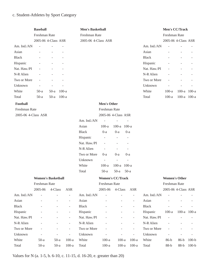#### c. Student-Athletes by Sport Category

|                     | <b>Baseball</b>           |                          |                          | <b>Men's Basketball</b> |                          |                          |        |                          |              | Men's CC/Track       |             |         |
|---------------------|---------------------------|--------------------------|--------------------------|-------------------------|--------------------------|--------------------------|--------|--------------------------|--------------|----------------------|-------------|---------|
|                     | Freshman Rate             |                          |                          | Freshman Rate           |                          |                          |        |                          |              | Freshman Rate        |             |         |
|                     | 2005-06 4-Class ASR       |                          |                          | 2005-06 4-Class ASR     |                          |                          |        |                          |              | 2005-06 4-Class ASR  |             |         |
| Am. Ind./AN         |                           |                          |                          |                         |                          |                          |        |                          | Am. Ind./AN  | $\overline{a}$       |             |         |
| Asian               |                           |                          |                          |                         |                          |                          |        |                          | Asian        |                      |             |         |
| <b>Black</b>        |                           |                          |                          |                         |                          |                          |        |                          | <b>Black</b> |                      |             |         |
| Hispanic            |                           |                          |                          |                         |                          |                          |        |                          | Hispanic     |                      |             |         |
| Nat. Haw./PI        |                           |                          |                          |                         |                          |                          |        |                          | Nat. Haw./PI |                      |             |         |
| N-R Alien           |                           |                          |                          |                         |                          |                          |        |                          | N-R Alien    |                      |             |         |
| Two or More         |                           |                          |                          |                         |                          |                          |        |                          | Two or More  |                      |             |         |
| Unknown             | ÷,                        | $\overline{\phantom{a}}$ |                          |                         |                          |                          |        |                          | Unknown      | $\overline{a}$       |             |         |
| White               | $50-a$                    | $50-a$                   | $100-a$                  |                         |                          |                          |        |                          | White        | $100-a$              | $100-a$     | $100-a$ |
| Total               | $50-a$                    | $50-a$                   | $100-a$                  |                         |                          |                          |        |                          | Total        | $100-a$              | 100-a 100-a |         |
| Football            |                           |                          |                          |                         | <b>Men's Other</b>       |                          |        |                          |              |                      |             |         |
| Freshman Rate       |                           |                          |                          |                         | Freshman Rate            |                          |        |                          |              |                      |             |         |
| 2005-06 4-Class ASR |                           |                          |                          |                         | 2005-06 4-Class ASR      |                          |        |                          |              |                      |             |         |
|                     |                           |                          |                          | Am. Ind./AN             | $\bar{a}$                |                          |        |                          |              |                      |             |         |
|                     |                           |                          |                          | Asian                   | $100-a$                  | 100-a 100-a              |        |                          |              |                      |             |         |
|                     |                           |                          |                          | <b>Black</b>            | $0-a$                    | $0-a$                    | $0-a$  |                          |              |                      |             |         |
|                     |                           |                          |                          | Hispanic                | $\blacksquare$           | $\overline{\phantom{a}}$ |        |                          |              |                      |             |         |
|                     |                           |                          |                          | Nat. Haw./PI            |                          |                          |        |                          |              |                      |             |         |
|                     |                           |                          |                          | N-R Alien               | $\overline{\phantom{a}}$ |                          |        |                          |              |                      |             |         |
|                     |                           |                          |                          | Two or More             | $0-a$                    | $0-a$                    | $0-a$  |                          |              |                      |             |         |
|                     |                           |                          |                          | Unknown                 | $\overline{\phantom{a}}$ | L.                       |        |                          |              |                      |             |         |
|                     |                           |                          |                          | White                   | $100-a$                  | 100-a 100-a              |        |                          |              |                      |             |         |
|                     |                           |                          |                          | Total                   | $50-a$                   | $50-a$                   | $50-a$ |                          |              |                      |             |         |
|                     |                           |                          |                          |                         |                          |                          |        |                          |              |                      |             |         |
|                     | <b>Women's Basketball</b> |                          |                          |                         | <b>Women's CC/Track</b>  |                          |        |                          |              | <b>Women's Other</b> |             |         |
|                     | Freshman Rate             |                          |                          |                         | Freshman Rate            |                          |        |                          |              | Freshman Rate        |             |         |
|                     | 2005-06                   | 4-Class                  | <b>ASR</b>               |                         | 2005-06                  | 4-Class                  |        | <b>ASR</b>               |              | 2005-06 4-Class ASR  |             |         |
| Am. Ind./AN         |                           |                          | $\overline{\phantom{a}}$ | Am. Ind./AN             | $\overline{\phantom{0}}$ |                          |        | $\overline{\phantom{a}}$ | Am. Ind./AN  | L,                   |             |         |
| Asian               |                           |                          | $\overline{\phantom{a}}$ | Asian                   |                          |                          |        | $\overline{\phantom{a}}$ | Asian        |                      |             |         |
| <b>Black</b>        |                           |                          | $\overline{a}$           | <b>Black</b>            |                          |                          |        | $\overline{\phantom{a}}$ | <b>Black</b> |                      |             |         |
| Hispanic            |                           |                          | $\bar{\phantom{a}}$      | Hispanic                |                          |                          |        | $\overline{\phantom{a}}$ | Hispanic     | $100-a$              | 100-a 100-a |         |
| Nat. Haw./PI        |                           |                          | $\overline{\phantom{a}}$ | Nat. Haw./PI            |                          |                          |        | $\overline{\phantom{a}}$ | Nat. Haw./PI |                      |             |         |
| N-R Alien           |                           |                          | $\overline{\phantom{a}}$ | N-R Alien               |                          |                          |        | $\overline{\phantom{a}}$ | N-R Alien    |                      |             |         |
| Two or More         |                           |                          | $\overline{\phantom{a}}$ | Two or More             |                          |                          |        | $\overline{\phantom{a}}$ | Two or More  |                      |             |         |
| Unknown             |                           |                          | ÷,                       | Unknown                 |                          |                          |        | ÷,                       | Unknown      |                      |             |         |
| White               | $50-a$                    | $50-a$                   | $100-a$                  | White                   | $100-a$                  | $100-a$                  |        | $100-a$                  | White        | $86-b$               | $86-b$      | $100-b$ |
| Total               | $50-a$                    | $50-a$                   | $100-a$                  | Total                   | $100-a$                  | $100-a$                  |        | $100-a$                  | Total        | $88-b$               | $88-b$      | $100-b$ |

Values for N (a. 1-5, b. 6-10, c. 11-15, d. 16-20, e. greater than 20)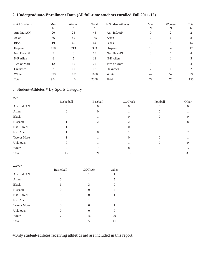#### **2. Undergraduate-Enrollment Data (All full-time students enrolled Fall 2011-12)**

| a. All Students | Men<br>N | Women<br>N | Total<br>N | b. Student-athletes | Men<br>N         | Women<br>N | Total<br>N |
|-----------------|----------|------------|------------|---------------------|------------------|------------|------------|
| Am. Ind./AN     | 20       | 23         | 43         | Am. Ind./AN         | $\boldsymbol{0}$ | 2          |            |
| Asian           | 66       | 89         | 155        | Asian               | 2                | 6          | 8          |
| <b>Black</b>    | 19       | 45         | 64         | Black               | 5                | 9          | 14         |
| Hispanic        | 170      | 213        | 383        | Hispanic            | 13               | 4          | 17         |
| Nat. Haw./PI    | 5        | 8          | 13         | Nat. Haw./PI        | 3                |            | 4          |
| N-R Alien       | 6        | 5          | 11         | N-R Alien           | 4                |            | 5          |
| Two or More     | 12       | 10         | 22         | Two or More         | 3                |            | 4          |
| Unknown         | 7        | 10         | 17         | Unknown             | $\overline{2}$   | $\Omega$   | 2          |
| White           | 599      | 1001       | 1600       | White               | 47               | 52         | 99         |
| Total           | 904      | 1404       | 2308       | Total               | 79               | 76         | 155        |

#### c. Student-Athletes # By Sports Category

| Men          |                |          |          |          |          |
|--------------|----------------|----------|----------|----------|----------|
|              | Basketball     | Baseball | CC/Track | Football | Other    |
| Am. Ind./AN  | $\overline{0}$ |          | $\Omega$ | $\Omega$ | $\Omega$ |
| Asian        | O              |          |          |          |          |
| Black        | 4              |          |          | 0        |          |
| Hispanic     |                |          |          |          | 8        |
| Nat. Haw./PI |                |          | $\cup$   |          |          |
| N-R Alien    |                | 0        |          |          |          |
| Two or More  |                |          |          |          |          |
| Unknown      |                |          |          |          |          |
| White        |                | 15       | 8        |          | 17       |
| Total        | 15             | 21       | 13       |          | 30       |

| Women        |                |                |                |
|--------------|----------------|----------------|----------------|
|              | Basketball     | CC/Track       | Other          |
| Am. Ind./AN  | 0              |                |                |
| Asian        | $\theta$       | 1              | 5              |
| <b>Black</b> | 6              | 3              | $\theta$       |
| Hispanic     | $\Omega$       | $\Omega$       | 4              |
| Nat. Haw./PI | $\overline{0}$ | 0              |                |
| N-R Alien    | $\Omega$       | 1              | $\Omega$       |
| Two or More  | $\Omega$       | $\Omega$       |                |
| Unknown      | $\overline{0}$ | $\overline{0}$ | $\overline{0}$ |
| White        | 7              | 16             | 29             |
| Total        | 13             | 22             | 41             |

#Only student-athletes receiving athletics aid are included in this report.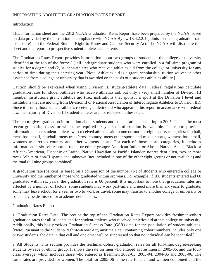#### INFORMATION ABOUT THE GRADUATION RATES REPORT

#### Introduction.

This information sheet and the 2012 NCAA Graduation Rates Report have been prepared by the NCAA, based on data provided by the institution in compliance with NCAA Bylaw 18.4.2.2.1 (admissions and graduation-rate disclosure) and the Federal Student Right-to-Know and Campus Security Act. The NCAA will distribute this sheet and the report to prospective student-athletes and parents.

The Graduation Rates Report provides information about two groups of students at the college or university identified at the top of the form: (1) all undergraduate students who were enrolled in a full-time program of studies for a degree and (2) student-athletes who received athletics aid from the college or university for any period of time during their entering year. [Note: Athletics aid is a grant, scholarship, tuition waiver or other assistance from a college or university that is awarded on the basis of a students athletics ability.]

Caution should be exercised when using Division III student-athlete data. Federal regulations calculate graduation rates for student-athletes who receive athletics aid, but only a very small number of Division III member institutions grant athletics aid (i.e., institutions that sponsor a sport at the Division I level and institutions that are moving from Division II or National Association of Intercollegiate Athletics to Division III). Since it is only those student-athletes receiving athletics aid who appear in this report in accordance with federal law, the majority of Division III student-athletes are not reflected in these data.

The report gives graduation information about students and student-athletes entering in 2005. This is the most recent graduating class for which the required six years of information is available. The report provides information about student-athletes who received athletics aid in one or more of eight sports categories: football, mens basketball, baseball, mens track/cross country, mens other sports and mixed sports, womens basketball, womens track/cross country and other womens sports. For each of those sports categories, it includes information in six self-reported racial or ethnic groups: American Indian or Alaska Native, Asian, Black or African-American, Hispanic or Latino, Native Hawaiian or Pacific Islander, nonresident alien, two or more races, White or non-Hispanic and unknown (not included in one of the other eight groups or not available) and the total (all nine groups combined).

A graduation rate (percent) is based on a comparison of the number (N) of students who entered a college or university and the number of those who graduated within six years. For example, if 100 students entered and 60 graduated within six years, the graduation rate is 60 percent. It is important to note that graduation rates are affected by a number of factors: some students may work part-time and need more than six years to graduate, some may leave school for a year or two to work or travel, some may transfer to another college or university or some may be dismissed for academic deficiencies.

#### Graduation Rates Report.

1. Graduation Rates Data. The box at the top of the Graduation Rates Report provides freshman-cohort graduation rates for all students and for student-athletes who received athletics aid at this college or university. Additionally, this box provides Graduation Success Rate (GSR) data for the population of student-athletes. [Note: Pursuant to the Student-Right-to-Know Act, anytime a cell containing cohort numbers includes only one or two students, the data in that cell and one other will be suppressed so that no individual can be identified.]

a. All Students. This section provides the freshman-cohort graduation rates for all full-time, degree-seeking students by race or ethnic group. It shows the rate for men who entered as freshmen in 2005-06, and the fourclass average, which includes those who entered as freshmen 2002-03, 2003-04, 2004-05 and 2005-06. The same rates are provided for women. The total for 2005-06 is the rate for men and women combined and the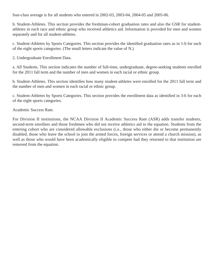four-class average is for all students who entered in 2002-03, 2003-04, 2004-05 and 2005-06.

b. Student-Athletes. This section provides the freshman-cohort graduation rates and also the GSR for studentathletes in each race and ethnic group who received athletics aid. Information is provided for men and women separately and for all student-athletes.

c. Student-Athletes by Sports Categories. This section provides the identified graduation rates as in 1-b for each of the eight sports categories. (The small letters indicate the value of N.)

2. Undergraduate Enrollment Data.

a. All Students. This section indicates the number of full-time, undergraduate, degree-seeking students enrolled for the 2011 fall term and the number of men and women in each racial or ethnic group.

b. Student-Athletes. This section identifies how many student-athletes were enrolled for the 2011 fall term and the number of men and women in each racial or ethnic group.

c. Student-Athletes by Sports Categories. This section provides the enrollment data as identified in 3-b for each of the eight sports categories.

Academic Success Rate.

For Division II institutions, the NCAA Division II Academic Success Rate (ASR) adds transfer students, second-term enrollees and those freshmen who did not receive athletics aid to the equation. Students from the entering cohort who are considered allowable exclusions (i.e., those who either die or become permanently disabled, those who leave the school to join the armed forces, foreign services or attend a church mission), as well as those who would have been academically eligible to compete had they returned to that institution are removed from the equation.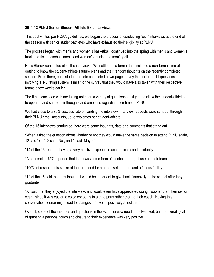#### **2011-12 PLNU Senior Student-Athlete Exit Interviews**

This past winter, per NCAA guidelines, we began the process of conducting "exit" interviews at the end of the season with senior student-athletes who have exhausted their eligibility at PLNU.

The process began with men's and women's basketball, continued into the spring with men's and women's track and field, baseball, men's and women's tennis, and men's golf.

Russ Blunck conducted all of the interviews. We settled on a format that included a non-formal time of getting to know the student-athlete's future plans and their random thoughts on the recently completed season. From there, each student-athlete completed a two-page survey that included 11 questions involving a 1-5 rating system, similar to the survey that they would have also taken with their respective teams a few weeks earlier.

The time concluded with me taking notes on a variety of questions, designed to allow the student-athletes to open up and share their thoughts and emotions regarding their time at PLNU.

We had close to a 70% success rate on landing the interview. Interview requests were sent out through their PLNU email accounts, up to two times per student-athlete.

Of the 15 interviews conducted, here were some thoughts, data and comments that stand out.

\*When asked the question about whether or not they would make the same decision to attend PLNU again, 12 said "Yes", 2 said "No", and 1 said "Maybe".

\*14 of the 15 reported having a very positive experience academically and spiritually.

\*A concerning 75% reported that there was some form of alcohol or drug abuse on their team.

\*100% of respondents spoke of the dire need for a better weight room and a fitness facility.

\*12 of the 15 said that they thought it would be important to give back financially to the school after they graduate.

\*All said that they enjoyed the interview, and would even have appreciated doing it sooner than their senior year—since it was easier to voice concerns to a third party rather than to their coach. Having this conversation sooner might lead to changes that would positively affect them.

Overall, some of the methods and questions in the Exit Interview need to be tweaked, but the overall goal of granting a personal touch and closure to their experience was very positive.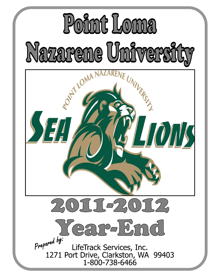# Point Loma Nazarene University

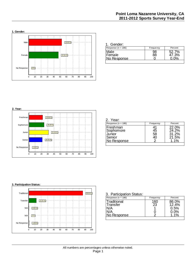

| 1. Gender:                    |           |                |
|-------------------------------|-----------|----------------|
| Response ( $n = 186$ )        | Frequency | Percent        |
| Male<br>Female<br>No Response |           | 52.7%<br>47.3% |



| Response ( $n = 186$ )                                   | Frequency | Percent                                  |
|----------------------------------------------------------|-----------|------------------------------------------|
| Freshman<br>Sophomore<br>Junior<br>Senior<br>No Response | 45<br>58  | 22.0%<br>24.2%<br>31.2%<br>21.5%<br>1 1% |



#### 3. Participation Status:

| Response ( $n = 186$ )  | Frequency | Percent        |
|-------------------------|-----------|----------------|
| Traditional<br>Transfer | 160<br>23 | 86.0%<br>12.4% |
| \l/A                    |           | 0.5%           |
| ۸VA<br>No Response      |           | $0.0\%$        |
|                         |           |                |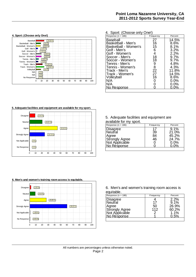

| 4. Sport: (Choose only One!)                                                                                                                                                                                                                        |                                                                  |                                                                                                                            |  |  |  |  |
|-----------------------------------------------------------------------------------------------------------------------------------------------------------------------------------------------------------------------------------------------------|------------------------------------------------------------------|----------------------------------------------------------------------------------------------------------------------------|--|--|--|--|
| Response ( $n = 186$ )                                                                                                                                                                                                                              | Frequency                                                        | Percent                                                                                                                    |  |  |  |  |
| Baseball<br>Basketball - Men's<br>Basketball - Women's<br>Golf - Men's<br>Golf - Women's<br>Soccer - Men's<br>Soccer - Women's<br>Tennis - Men's<br>Tennis - Women's<br>Track - Men's<br>Track - Women's<br>Volleyball<br>N/A<br>N/A<br>No Response | 27<br>16<br>15<br>6<br>4<br>18<br>18<br>9<br>8<br>22<br>27<br>16 | 14.5%<br>8.6%<br>8.1%<br>3.2%<br>2.2%<br>9.7%<br>9.7%<br>4.8%<br>4.3%<br>11.8%<br>14.5%<br>8.6%<br>$0.0\%$<br>0.0%<br>በ በ% |  |  |  |  |
|                                                                                                                                                                                                                                                     |                                                                  |                                                                                                                            |  |  |  |  |

#### **5. Adequate facilities and equipment are available for my sport.**



#### **6. Men's and women's training room access is equitable.**



#### 5. Adequate facilities and equipment are available for my sport.

| Response ( $n = 186$ )           | Frequency | Percent |
|----------------------------------|-----------|---------|
|                                  | 17        | 9.1%    |
| Disagree<br> Neutral             | 39        | 21.0%   |
| Agree                            | 84        | 45.2%   |
| Strongly Agree<br>Not Applicable | 46        | 24.7%   |
|                                  |           | $0.0\%$ |
| No Response                      |           | 0.0%    |
|                                  |           |         |

#### 6. Men's and women's training room access is equitable.

| Response ( $n = 186$ ) | Frequency | Percent |
|------------------------|-----------|---------|
| Disagree               |           | 2.2%    |
| Neutral                | 17        | $9.1\%$ |
| Agree                  | 50        | 26.9%   |
| Strongly Agree         | 112       | 60.2%   |
| Not Applicable         |           | $1.1\%$ |
| No Response            |           |         |
|                        |           |         |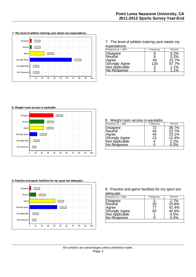

7. The level of athletic training care meets my expectations.

| Response ( $n = 186$ )           | Frequency | Percent |
|----------------------------------|-----------|---------|
| Disagree<br>Neutral              |           | 3.2%    |
|                                  |           | 3.2%    |
| Agree                            |           | 23.7%   |
|                                  | 126       | 67.7%   |
| Strongly Agree<br>Not Applicable |           | $1.1\%$ |
| No Response                      |           |         |

#### **8. Weight room access is equitable.**



#### **9. Practice and game facilities for my sport are adequate.**



8. Weight room access is equitable.

| Response ( $n = 186$ )           | Frequency | Percent |
|----------------------------------|-----------|---------|
| Disagree<br>∣Neutral             | 72        | 38.7%   |
|                                  | 44        | 23.7%   |
| Agree                            | 43        | 23.1%   |
|                                  | 23        | 12.4%   |
| Strongly Agree<br>Not Applicable |           | 2.2%    |
| <u>No Response</u>               |           |         |
|                                  |           |         |

9. Practice and game facilities for my sport are adequate.

| Response ( $n = 186$ )                          | <b>Frequency</b> | Percent |
|-------------------------------------------------|------------------|---------|
|                                                 | 5                | 2.7%    |
| Disagree<br> Neutral                            | 20               | 10.8%   |
| Agree                                           | 77               | 41.4%   |
|                                                 | 83               | 44.6%   |
|                                                 |                  | 0.5%    |
| Strongly Agree<br>Not Applicable<br>No Response |                  | በ በ%    |
|                                                 |                  |         |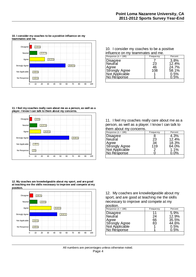

**10. I consider my coaches to be a positive influence on my**

#### 10. I consider my coaches to be a positive influence on my teammates and me.

| Response ( $n = 186$ )                                 | <b>Frequency</b> | Percent |
|--------------------------------------------------------|------------------|---------|
| Disagree                                               |                  | 3.8%    |
| Neutral                                                | 23               | 12.4%   |
| Agree                                                  | 46               | 24.7%   |
|                                                        | 108              | 58.1%   |
|                                                        |                  | 0.5%    |
| Strongly Agree<br>Not Applicable<br><u>No Response</u> |                  | $0.5\%$ |

#### **11. I feel my coaches really care about me as a person, as well as a player. I know I can talk to them about my concerns.**



**12. My coaches are knowledgeable about my sport, and are good at teaching me the skills necessary to improve and compete at my position.**



11. I feel my coaches really care about me as a person, as well as a player. I know I can talk to them about my concerns.

| Response ( $n = 186$ )                          | Frequency | Percent |
|-------------------------------------------------|-----------|---------|
| Disagree                                        |           | 4.3%    |
| Neutral                                         | 23        | 12.4%   |
| Agree                                           | 34        | 18.3%   |
|                                                 | 119       | 64.0%   |
|                                                 | 2         | 1.1%    |
| Strongly Agree<br>Not Applicable<br>No Response |           | $0.0\%$ |
|                                                 |           |         |

12. My coaches are knowledgeable about my sport, and are good at teaching me the skills necessary to improve and compete at my position.

| PUSILIUI I.                      |           |         |
|----------------------------------|-----------|---------|
| Response ( $n = 186$ )           | Frequency | Percent |
| Disagree                         | 11        | 5.9%    |
| Neutral                          | 24        | 12.9%   |
| Agree                            | 66        | 35.5%   |
| Strongly Agree<br>Not Applicable | 83        | 44.6%   |
|                                  |           | 0.5%    |
| No Response                      |           | 0.5%    |
|                                  |           |         |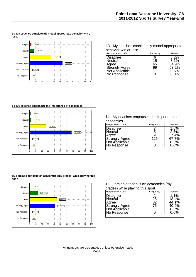

**13. My coaches consistently model appropriate behavior-win or**

13. My coaches consistently model appropriate behavior-win or lose.

| Response ( $n = 186$ )        | <b>Frequency</b> | Percent |
|-------------------------------|------------------|---------|
| Disagree<br> Neutral          |                  | 3.2%    |
|                               | 15               | 8.1%    |
| Agree                         | 65               | 34.9%   |
| Strongly Agree                | 99               | 53.2%   |
| Not Applicable<br>No Response |                  | 0.5%    |
|                               |                  | 0.0%    |
|                               |                  |         |

**14. My coaches emphasize the importance of academics.**



**15. I am able to focus on academics (my grades) while playing this sport.**



14. My coaches emphasize the importance of academics.

| Response ( $n = 186$ )<br>Percent<br>Frequency<br>1.6%<br>Disagree<br>Neutral<br>2.7%<br>5<br>51<br>27.4%<br>Agree<br>126<br>67.7%<br>0.5%<br><u>No Response</u><br>$0.0\%$ | avaavmoo.                        |  |
|-----------------------------------------------------------------------------------------------------------------------------------------------------------------------------|----------------------------------|--|
|                                                                                                                                                                             |                                  |  |
|                                                                                                                                                                             | Strongly Agree<br>Not Applicable |  |

15. I am able to focus on academics (my grades) while playing this sport.

| $9.99001$ mino playing and opola                                                       |                |                                         |
|----------------------------------------------------------------------------------------|----------------|-----------------------------------------|
| Response ( $n = 186$ )                                                                 | Frequency      | Percent                                 |
| Disagree<br><b>Neutral</b><br>Agree<br>Strongly Agree<br>Not Applicable<br>No Response | 25<br>82<br>76 | 1.1%<br>13.4%<br>44.1%<br>40.9%<br>0.5% |
|                                                                                        |                |                                         |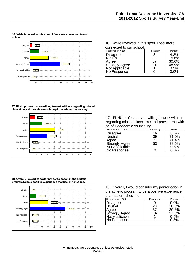

**16. While involved in this sport, I feel more connected to our school.**

16. While involved in this sport, I feel more connected to our school.

| Response ( $n = 186$ )        | <b>Frequency</b> | Percent |
|-------------------------------|------------------|---------|
|                               |                  | 4.3%    |
| Disagree<br> Neutral          | 29               | 15.6%   |
| Agree                         | 57               | 30.6%   |
| <b>Strongly Agree</b>         | 91               | 48.9%   |
|                               |                  | 0.5%    |
| Not Applicable<br>No Response |                  | $0.0\%$ |
|                               |                  |         |

**17. PLNU professors are willing to work with me regarding missed class time and provide me with helpful academic counseling.**



**18. Overall, I would consider my participation in the athletic program to be a positive experience that has enriched me.**



17. PLNU professors are willing to work with me regarding missed class time and provide me with helpful academic counseling.

| Response ( $n = 186$ )                          | Frequency | Percent |
|-------------------------------------------------|-----------|---------|
| Disagree                                        | 16        | 8.6%    |
| Neutral                                         | 39        | 21.0%   |
| Agree                                           | 77        | 41.4%   |
| Strongly Agree<br>Not Applicable<br>No Response | 53        | 28.5%   |
|                                                 |           | 0.5%    |
|                                                 |           | $0.0\%$ |
|                                                 |           |         |

18. Overall, I would consider my participation in the athletic program to be a positive experience that has enriched me.

| Response ( $n = 186$ )        | Frequency | Percent |
|-------------------------------|-----------|---------|
| Disagree                      |           | $0.0\%$ |
| Neutral                       | 20        | 10.8%   |
| Agree                         | 57        | 30.6%   |
| Strongly Agree                | 107       | 57.5%   |
| Not Applicable<br>No Response |           | 0.5%    |
|                               |           | $0.5\%$ |
|                               |           |         |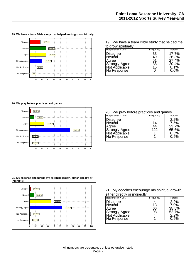

19. We have a team Bible study that helped me to grow spiritually.

| Response ( $n = 186$ )                                 | Frequency | Percent |
|--------------------------------------------------------|-----------|---------|
|                                                        | 33        | 17.7%   |
| Disagree<br>Neutral                                    | 49        | 26.3%   |
| Agree                                                  | 51        | 27.4%   |
|                                                        | 38        | 20.4%   |
|                                                        | 15        | 8.1%    |
| Strongly Agree<br>Not Applicable<br><u>No Response</u> |           | $0.0\%$ |

#### **20. We pray before practices and games.**



#### 20. We pray before practices and games.

| Response ( $n = 186$ ) | <b>Frequency</b> | Percent |
|------------------------|------------------|---------|
|                        |                  | 2.2%    |
| Disagree<br>Neutral    | 14               | 7.5%    |
| Agree                  | 44               | 23.7%   |
| <b>Strongly Agree</b>  | 122              | 65.6%   |
| Not Applicable         |                  | 0.5%    |
| No Response            |                  |         |
|                        |                  |         |

#### **21. My coaches encourage my spiritual growth, either directly or indirectly.**



21. My coaches encourage my spiritual growth, either directly or indirectly.

| <b>Frequency</b> | Percent |
|------------------|---------|
|                  | 2.2%    |
| 13               | 7.0%    |
| 66               | 35.5%   |
| 98               | 52.7%   |
|                  | $2.2\%$ |
|                  | በ 5%    |
|                  |         |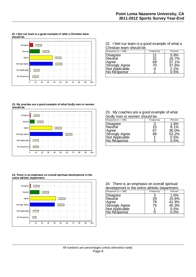

**22. I feel our team is a good example of what a Christian team should be.**

22. I feel our team is a good example of what a Christian team should be.

| Response ( $n = 186$ ) | Frequency | Percent |
|------------------------|-----------|---------|
|                        | 11        | 5.9%    |
| Disagree<br>∣Neutral   | 31        | 16.7%   |
| Agree                  | 69        | 37.1%   |
| <b>Strongly Agree</b>  | 70        | 37.6%   |
| Not Applicable         |           | 2.2%    |
| No Response            |           | 0.5%    |
|                        |           |         |

**23. My coaches are a good example of what Godly men or women should be.**



#### **24. There is an emphasis on overall spiritual development in the entire athletic department.**



#### 23. My coaches are a good example of what Godly men or women should be.

| Response ( $n = 186$ )                          | Frequency | Percent |
|-------------------------------------------------|-----------|---------|
|                                                 |           | 1.6%    |
| Disagree<br>Neutral                             | 15        | 8.1%    |
| Agree                                           | 67        | 36.0%   |
|                                                 | 99        | 53.2%   |
|                                                 |           | 0.5%    |
| Strongly Agree<br>Not Applicable<br>No Response |           | $0.5\%$ |
|                                                 |           |         |

#### 24. There is an emphasis on overall spiritual development in the entire athletic department.

| Response ( $n = 186$ )                                                                 | Frequency      | Percent                                            |
|----------------------------------------------------------------------------------------|----------------|----------------------------------------------------|
| Disagree<br><b>Neutral</b><br>Agree<br>Strongly Agree<br>Not Applicable<br>No Response | 29<br>78<br>75 | 1.6%<br>15.6%<br>41.9%<br>40.3%<br>0.5%<br>$0.0\%$ |
|                                                                                        |                |                                                    |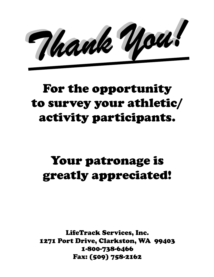Mank You!

## For the opportunity to survey your athletic/ activity participants.

### Your patronage is greatly appreciated!

LifeTrack Services, Inc. 1271 Port Drive, Clarkston, WA 99403 1-800-738-6466 Fax: (509) 758-2162